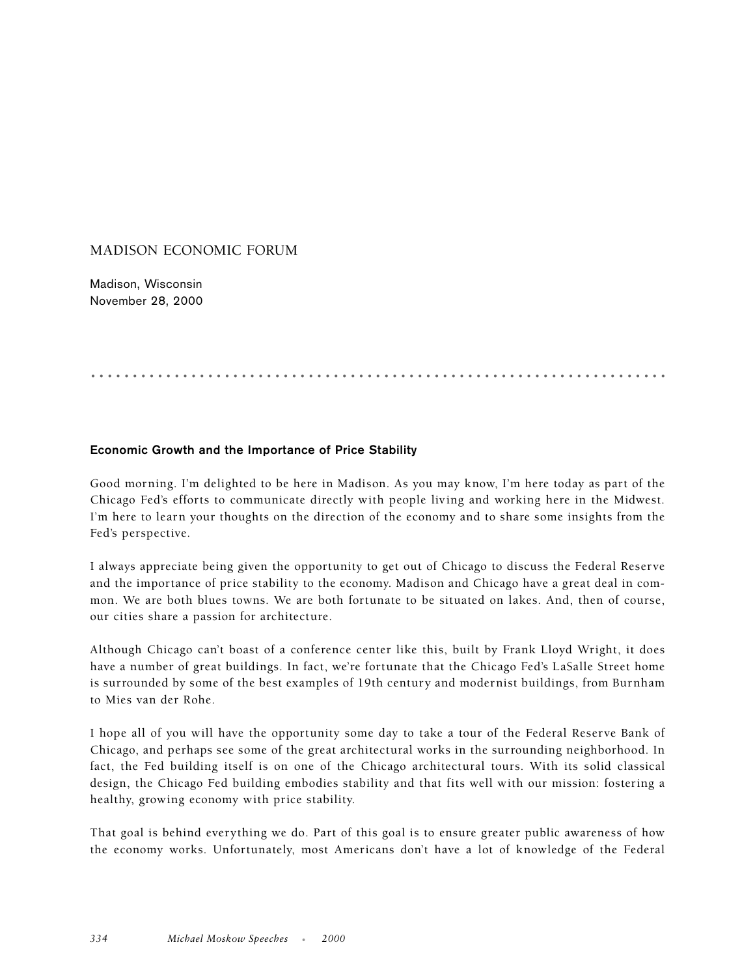## MADISON ECONOMIC FORUM

Madison, Wisconsin November 28, 2000

## .....................................................................

## **Economic Growth and the Importance of Price Stability**

Good morning. I'm delighted to be here in Madison. As you may know, I'm here today as part of the Chicago Fed's efforts to communicate directly with people living and working here in the Midwest. I'm here to learn your thoughts on the direction of the economy and to share some insights from the Fed's perspective.

I always appreciate being given the opportunity to get out of Chicago to discuss the Federal Reserve and the importance of price stability to the economy. Madison and Chicago have a great deal in common. We are both blues towns. We are both fortunate to be situated on lakes. And, then of course, our cities share a passion for architecture.

Although Chicago can't boast of a conference center like this, built by Frank Lloyd Wright, it does have a number of great buildings. In fact, we're fortunate that the Chicago Fed's LaSalle Street home is surrounded by some of the best examples of 19th century and modernist buildings, from Burnham to Mies van der Rohe.

I hope all of you will have the opportunity some day to take a tour of the Federal Reserve Bank of Chicago, and perhaps see some of the great architectural works in the surrounding neighborhood. In fact, the Fed building itself is on one of the Chicago architectural tours. With its solid classical design, the Chicago Fed building embodies stability and that fits well with our mission: fostering a healthy, growing economy with price stability.

That goal is behind everything we do. Part of this goal is to ensure greater public awareness of how the economy works. Unfortunately, most Americans don't have a lot of knowledge of the Federal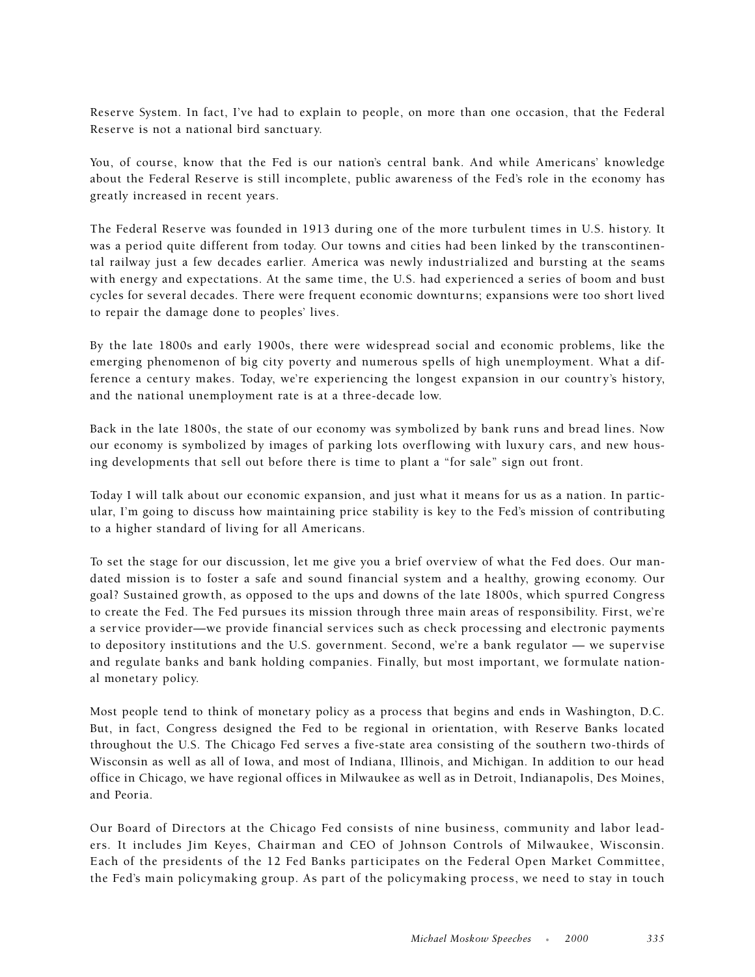Reserve System. In fact, I've had to explain to people, on more than one occasion, that the Federal Reserve is not a national bird sanctuary.

You, of course, know that the Fed is our nation's central bank. And while Americans' knowledge about the Federal Reserve is still incomplete, public awareness of the Fed's role in the economy has greatly increased in recent years.

The Federal Reserve was founded in 1913 during one of the more turbulent times in U.S. history. It was a period quite different from today. Our towns and cities had been linked by the transcontinental railway just a few decades earlier. America was newly industrialized and bursting at the seams with energy and expectations. At the same time, the U.S. had experienced a series of boom and bust cycles for several decades. There were frequent economic downturns; expansions were too short lived to repair the damage done to peoples' lives.

By the late 1800s and early 1900s, there were widespread social and economic problems, like the emerging phenomenon of big city poverty and numerous spells of high unemployment. What a difference a century makes. Today, we're experiencing the longest expansion in our country's history, and the national unemployment rate is at a three-decade low.

Back in the late 1800s, the state of our economy was symbolized by bank runs and bread lines. Now our economy is symbolized by images of parking lots overflowing with luxury cars, and new housing developments that sell out before there is time to plant a "for sale" sign out front.

Today I will talk about our economic expansion, and just what it means for us as a nation. In particular, I'm going to discuss how maintaining price stability is key to the Fed's mission of contributing to a higher standard of living for all Americans.

To set the stage for our discussion, let me give you a brief overview of what the Fed does. Our mandated mission is to foster a safe and sound financial system and a healthy, growing economy. Our goal? Sustained growth, as opposed to the ups and downs of the late 1800s, which spurred Congress to create the Fed. The Fed pursues its mission through three main areas of responsibility. First, we're a service provider—we provide financial services such as check processing and electronic payments to depository institutions and the U.S. government. Second, we're a bank regulator — we supervise and regulate banks and bank holding companies. Finally, but most important, we formulate national monetary policy.

Most people tend to think of monetary policy as a process that begins and ends in Washington, D.C. But, in fact, Congress designed the Fed to be regional in orientation, with Reserve Banks located throughout the U.S. The Chicago Fed serves a five-state area consisting of the southern two-thirds of Wisconsin as well as all of Iowa, and most of Indiana, Illinois, and Michigan. In addition to our head office in Chicago, we have regional offices in Milwaukee as well as in Detroit, Indianapolis, Des Moines, and Peoria.

Our Board of Directors at the Chicago Fed consists of nine business, community and labor leaders. It includes Jim Keyes, Chairman and CEO of Johnson Controls of Milwaukee, Wisconsin. Each of the presidents of the 12 Fed Banks participates on the Federal Open Market Committee, the Fed's main policymaking group. As part of the policymaking process, we need to stay in touch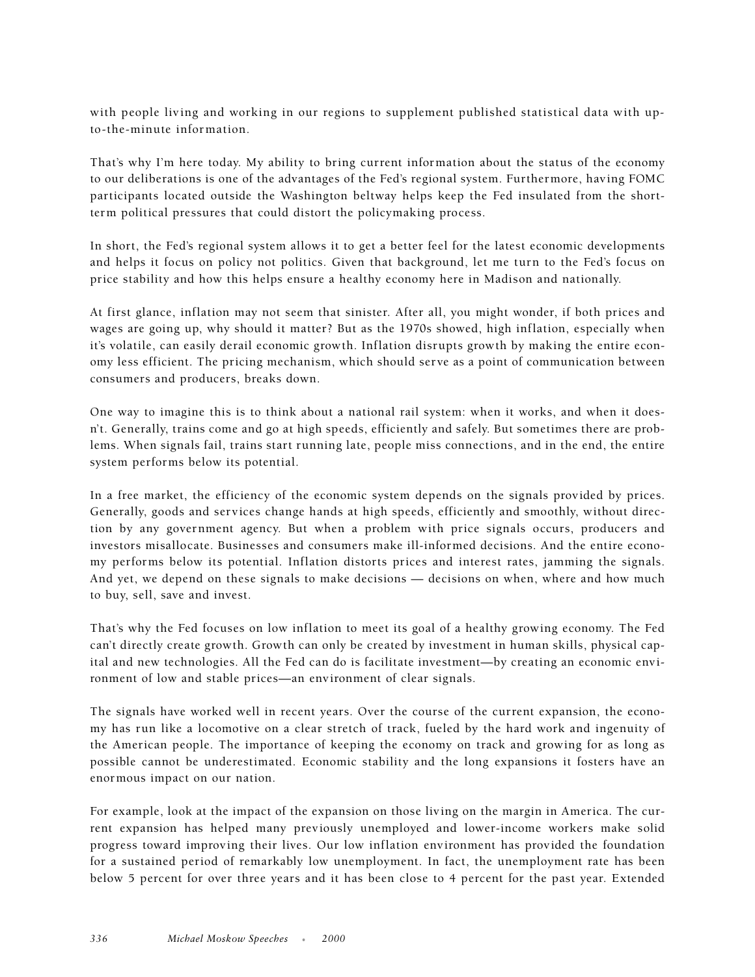with people living and working in our regions to supplement published statistical data with upto-the-minute information.

That's why I'm here today. My ability to bring current information about the status of the economy to our deliberations is one of the advantages of the Fed's regional system. Furthermore, having FOMC participants located outside the Washington beltway helps keep the Fed insulated from the shortterm political pressures that could distort the policymaking process.

In short, the Fed's regional system allows it to get a better feel for the latest economic developments and helps it focus on policy not politics. Given that background, let me turn to the Fed's focus on price stability and how this helps ensure a healthy economy here in Madison and nationally.

At first glance, inflation may not seem that sinister. After all, you might wonder, if both prices and wages are going up, why should it matter? But as the 1970s showed, high inflation, especially when it's volatile, can easily derail economic growth. Inflation disrupts growth by making the entire economy less efficient. The pricing mechanism, which should serve as a point of communication between consumers and producers, breaks down.

One way to imagine this is to think about a national rail system: when it works, and when it doesn't. Generally, trains come and go at high speeds, efficiently and safely. But sometimes there are problems. When signals fail, trains start running late, people miss connections, and in the end, the entire system performs below its potential.

In a free market, the efficiency of the economic system depends on the signals provided by prices. Generally, goods and services change hands at high speeds, efficiently and smoothly, without direction by any government agency. But when a problem with price signals occurs, producers and investors misallocate. Businesses and consumers make ill-informed decisions. And the entire economy performs below its potential. Inflation distorts prices and interest rates, jamming the signals. And yet, we depend on these signals to make decisions — decisions on when, where and how much to buy, sell, save and invest.

That's why the Fed focuses on low inflation to meet its goal of a healthy growing economy. The Fed can't directly create growth. Growth can only be created by investment in human skills, physical capital and new technologies. All the Fed can do is facilitate investment—by creating an economic environment of low and stable prices—an environment of clear signals.

The signals have worked well in recent years. Over the course of the current expansion, the economy has run like a locomotive on a clear stretch of track, fueled by the hard work and ingenuity of the American people. The importance of keeping the economy on track and growing for as long as possible cannot be underestimated. Economic stability and the long expansions it fosters have an enormous impact on our nation.

For example, look at the impact of the expansion on those living on the margin in America. The current expansion has helped many previously unemployed and lower-income workers make solid progress toward improving their lives. Our low inflation environment has provided the foundation for a sustained period of remarkably low unemployment. In fact, the unemployment rate has been below 5 percent for over three years and it has been close to 4 percent for the past year. Extended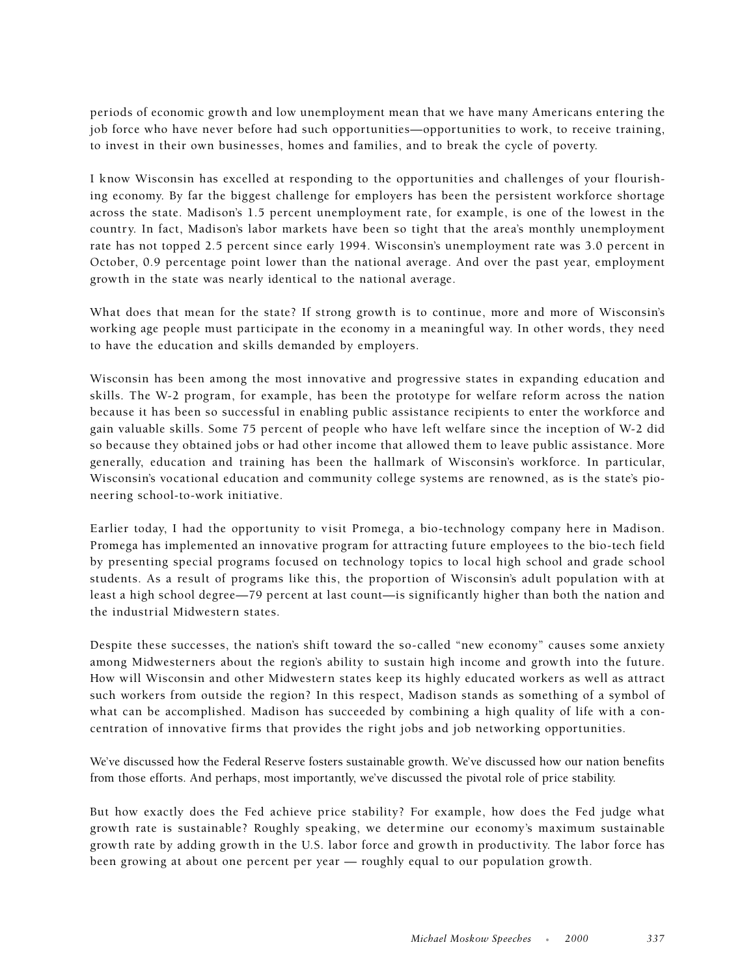periods of economic growth and low unemployment mean that we have many Americans entering the job force who have never before had such opportunities—opportunities to work, to receive training, to invest in their own businesses, homes and families, and to break the cycle of poverty.

I know Wisconsin has excelled at responding to the opportunities and challenges of your flourishing economy. By far the biggest challenge for employers has been the persistent workforce shortage across the state. Madison's 1.5 percent unemployment rate, for example, is one of the lowest in the country. In fact, Madison's labor markets have been so tight that the area's monthly unemployment rate has not topped 2.5 percent since early 1994. Wisconsin's unemployment rate was 3.0 percent in October, 0.9 percentage point lower than the national average. And over the past year, employment growth in the state was nearly identical to the national average.

What does that mean for the state? If strong growth is to continue, more and more of Wisconsin's working age people must participate in the economy in a meaningful way. In other words, they need to have the education and skills demanded by employers.

Wisconsin has been among the most innovative and progressive states in expanding education and skills. The W-2 program, for example, has been the prototype for welfare reform across the nation because it has been so successful in enabling public assistance recipients to enter the workforce and gain valuable skills. Some 75 percent of people who have left welfare since the inception of W-2 did so because they obtained jobs or had other income that allowed them to leave public assistance. More generally, education and training has been the hallmark of Wisconsin's workforce. In particular, Wisconsin's vocational education and community college systems are renowned, as is the state's pioneering school-to-work initiative.

Earlier today, I had the opportunity to visit Promega, a bio-technology company here in Madison. Promega has implemented an innovative program for attracting future employees to the bio-tech field by presenting special programs focused on technology topics to local high school and grade school students. As a result of programs like this, the proportion of Wisconsin's adult population with at least a high school degree—79 percent at last count—is significantly higher than both the nation and the industrial Midwestern states.

Despite these successes, the nation's shift toward the so-called "new economy" causes some anxiety among Midwesterners about the region's ability to sustain high income and growth into the future. How will Wisconsin and other Midwestern states keep its highly educated workers as well as attract such workers from outside the region? In this respect, Madison stands as something of a symbol of what can be accomplished. Madison has succeeded by combining a high quality of life with a concentration of innovative firms that provides the right jobs and job networking opportunities.

We've discussed how the Federal Reserve fosters sustainable growth. We've discussed how our nation benefits from those efforts. And perhaps, most importantly, we've discussed the pivotal role of price stability.

But how exactly does the Fed achieve price stability? For example, how does the Fed judge what growth rate is sustainable? Roughly speaking, we determine our economy's maximum sustainable growth rate by adding growth in the U.S. labor force and growth in productivity. The labor force has been growing at about one percent per year — roughly equal to our population growth.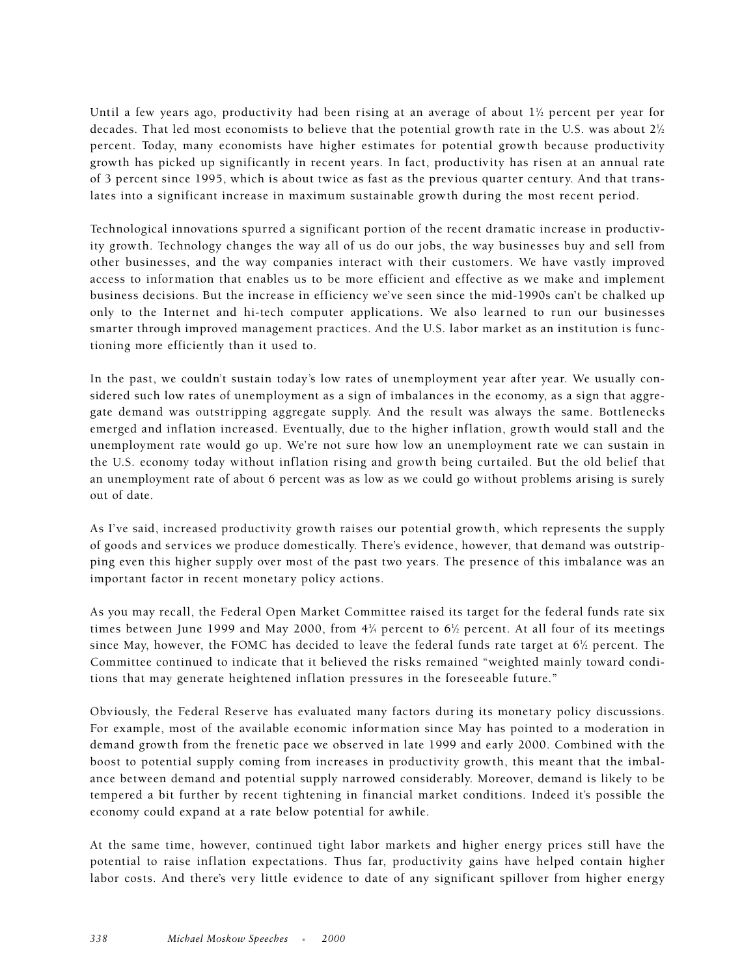Until a few years ago, productivity had been rising at an average of about  $1\%$  percent per year for decades. That led most economists to believe that the potential growth rate in the U.S. was about  $2\%$ percent. Today, many economists have higher estimates for potential growth because productivity growth has picked up significantly in recent years. In fact, productivity has risen at an annual rate of 3 percent since 1995, which is about twice as fast as the previous quarter century. And that translates into a significant increase in maximum sustainable growth during the most recent period.

Technological innovations spurred a significant portion of the recent dramatic increase in productivity growth. Technology changes the way all of us do our jobs, the way businesses buy and sell from other businesses, and the way companies interact with their customers. We have vastly improved access to information that enables us to be more efficient and effective as we make and implement business decisions. But the increase in efficiency we've seen since the mid-1990s can't be chalked up only to the Internet and hi-tech computer applications. We also learned to run our businesses smarter through improved management practices. And the U.S. labor market as an institution is functioning more efficiently than it used to.

In the past, we couldn't sustain today's low rates of unemployment year after year. We usually considered such low rates of unemployment as a sign of imbalances in the economy, as a sign that aggregate demand was outstripping aggregate supply. And the result was always the same. Bottlenecks emerged and inflation increased. Eventually, due to the higher inflation, growth would stall and the unemployment rate would go up. We're not sure how low an unemployment rate we can sustain in the U.S. economy today without inflation rising and growth being curtailed. But the old belief that an unemployment rate of about 6 percent was as low as we could go without problems arising is surely out of date.

As I've said, increased productivity growth raises our potential growth, which represents the supply of goods and services we produce domestically. There's evidence, however, that demand was outstripping even this higher supply over most of the past two years. The presence of this imbalance was an important factor in recent monetary policy actions.

As you may recall, the Federal Open Market Committee raised its target for the federal funds rate six times between June 1999 and May 2000, from 4¼ percent to 6½ percent. At all four of its meetings since May, however, the FOMC has decided to leave the federal funds rate target at 6½ percent. The Committee continued to indicate that it believed the risks remained "weighted mainly toward conditions that may generate heightened inflation pressures in the foreseeable future."

Obviously, the Federal Reserve has evaluated many factors during its monetary policy discussions. For example, most of the available economic information since May has pointed to a moderation in demand growth from the frenetic pace we observed in late 1999 and early 2000. Combined with the boost to potential supply coming from increases in productivity growth, this meant that the imbalance between demand and potential supply narrowed considerably. Moreover, demand is likely to be tempered a bit further by recent tightening in financial market conditions. Indeed it's possible the economy could expand at a rate below potential for awhile.

At the same time, however, continued tight labor markets and higher energy prices still have the potential to raise inflation expectations. Thus far, productivity gains have helped contain higher labor costs. And there's very little evidence to date of any significant spillover from higher energy